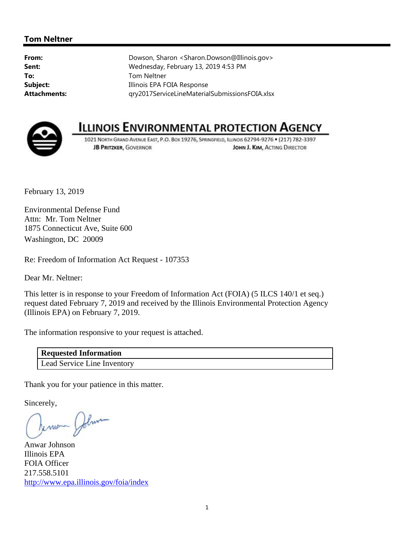## **Tom Neltner**

**From:** Dowson, Sharon <Sharon.Dowson@Illinois.gov> **Sent:** Wednesday, February 13, 2019 4:53 PM **To:** Tom Neltner **Subject:** Illinois EPA FOIA Response **Attachments:** qry2017ServiceLineMaterialSubmissionsFOIA.xlsx



## **ILLINOIS ENVIRONMENTAL PROTECTION AGENCY**

1021 NORTH GRAND AVENUE EAST, P.O. BOX 19276, SPRINGFIELD, ILLINOIS 62794-9276 . (217) 782-3397 **JB PRITZKER, GOVERNOR** JOHN J. KIM, ACTING DIRECTOR

February 13, 2019

Environmental Defense Fund Attn: Mr. Tom Neltner 1875 Connecticut Ave, Suite 600 Washington, DC 20009

Re: Freedom of Information Act Request - 107353

Dear Mr. Neltner:

This letter is in response to your Freedom of Information Act (FOIA) (5 ILCS 140/1 et seq.) request dated February 7, 2019 and received by the Illinois Environmental Protection Agency (Illinois EPA) on February 7, 2019.

The information responsive to your request is attached.

**Requested Information**  Lead Service Line Inventory

Thank you for your patience in this matter.

Sincerely,

Terrien John

Anwar Johnson Illinois EPA FOIA Officer 217.558.5101 http://www.epa.illinois.gov/foia/index